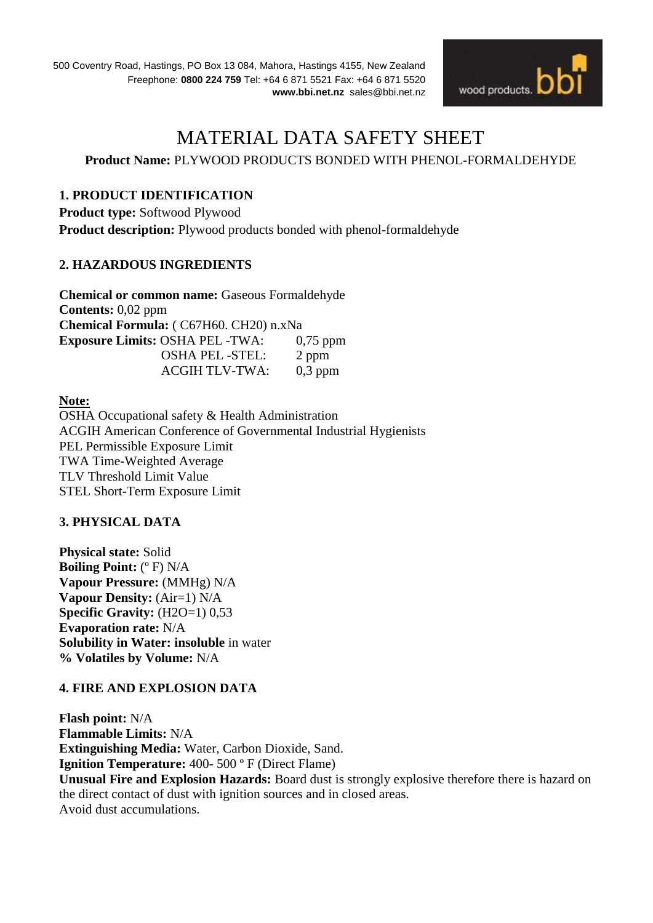

# MATERIAL DATA SAFETY SHEET

# **Product Name:** PLYWOOD PRODUCTS BONDED WITH PHENOL-FORMALDEHYDE

## **1. PRODUCT IDENTIFICATION**

**Product type:** Softwood Plywood **Product description:** Plywood products bonded with phenol-formaldehyde

#### **2. HAZARDOUS INGREDIENTS**

**Chemical or common name:** Gaseous Formaldehyde **Contents:** 0,02 ppm **Chemical Formula:** ( C67H60. CH20) n.xNa **Exposure Limits:** OSHA PEL -TWA: 0,75 ppm OSHA PEL -STEL: 2 ppm ACGIH TLV-TWA: 0,3 ppm

**Note:** OSHA Occupational safety & Health Administration ACGIH American Conference of Governmental Industrial Hygienists PEL Permissible Exposure Limit TWA Time-Weighted Average TLV Threshold Limit Value STEL Short-Term Exposure Limit

#### **3. PHYSICAL DATA**

**Physical state:** Solid **Boiling Point:** (º F) N/A **Vapour Pressure:** (MMHg) N/A **Vapour Density:** (Air=1) N/A **Specific Gravity:** (H2O=1) 0,53 **Evaporation rate:** N/A **Solubility in Water: insoluble** in water **% Volatiles by Volume:** N/A

# **4. FIRE AND EXPLOSION DATA**

**Flash point:** N/A **Flammable Limits:** N/A **Extinguishing Media:** Water, Carbon Dioxide, Sand. **Ignition Temperature:** 400- 500 º F (Direct Flame) **Unusual Fire and Explosion Hazards:** Board dust is strongly explosive therefore there is hazard on the direct contact of dust with ignition sources and in closed areas. Avoid dust accumulations.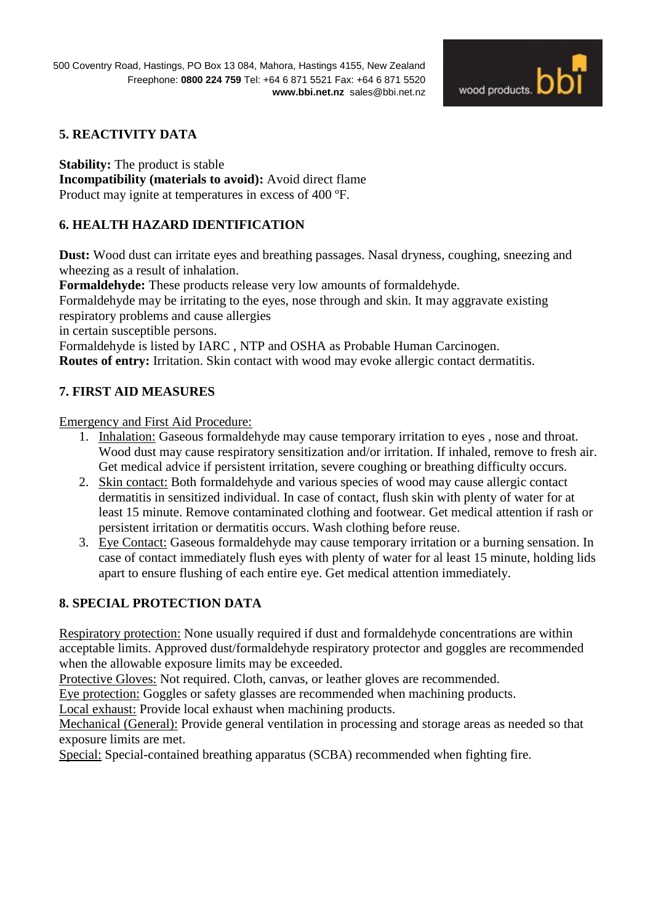

# **5. REACTIVITY DATA**

**Stability:** The product is stable **Incompatibility (materials to avoid):** Avoid direct flame Product may ignite at temperatures in excess of 400 ºF.

# **6. HEALTH HAZARD IDENTIFICATION**

**Dust:** Wood dust can irritate eyes and breathing passages. Nasal dryness, coughing, sneezing and wheezing as a result of inhalation.

**Formaldehyde:** These products release very low amounts of formaldehyde.

Formaldehyde may be irritating to the eyes, nose through and skin. It may aggravate existing respiratory problems and cause allergies

in certain susceptible persons.

Formaldehyde is listed by IARC , NTP and OSHA as Probable Human Carcinogen. **Routes of entry:** Irritation. Skin contact with wood may evoke allergic contact dermatitis.

# **7. FIRST AID MEASURES**

Emergency and First Aid Procedure:

- 1. Inhalation: Gaseous formaldehyde may cause temporary irritation to eyes , nose and throat. Wood dust may cause respiratory sensitization and/or irritation. If inhaled, remove to fresh air. Get medical advice if persistent irritation, severe coughing or breathing difficulty occurs.
- 2. Skin contact: Both formaldehyde and various species of wood may cause allergic contact dermatitis in sensitized individual. In case of contact, flush skin with plenty of water for at least 15 minute. Remove contaminated clothing and footwear. Get medical attention if rash or persistent irritation or dermatitis occurs. Wash clothing before reuse.
- 3. Eye Contact: Gaseous formaldehyde may cause temporary irritation or a burning sensation. In case of contact immediately flush eyes with plenty of water for al least 15 minute, holding lids apart to ensure flushing of each entire eye. Get medical attention immediately.

# **8. SPECIAL PROTECTION DATA**

Respiratory protection: None usually required if dust and formaldehyde concentrations are within acceptable limits. Approved dust/formaldehyde respiratory protector and goggles are recommended when the allowable exposure limits may be exceeded.

Protective Gloves: Not required. Cloth, canvas, or leather gloves are recommended.

Eye protection: Goggles or safety glasses are recommended when machining products.

Local exhaust: Provide local exhaust when machining products.

Mechanical (General): Provide general ventilation in processing and storage areas as needed so that exposure limits are met.

Special: Special-contained breathing apparatus (SCBA) recommended when fighting fire.